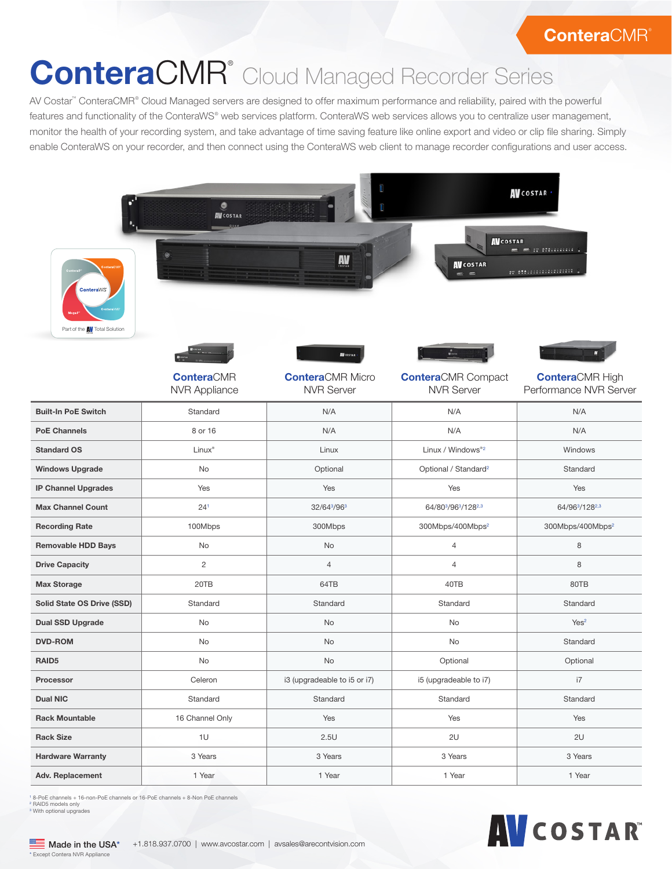## **ConteraCMR®**

## ConteraCMR<sup>®</sup> Cloud Managed Recorder Series

AV Costar™ ConteraCMR® Cloud Managed servers are designed to offer maximum performance and reliability, paired with the powerful features and functionality of the ConteraWS® web services platform. ConteraWS web services allows you to centralize user management, monitor the health of your recording system, and take advantage of time saving feature like online export and video or clip file sharing. Simply enable ConteraWS on your recorder, and then connect using the ConteraWS web client to manage recorder configurations and user access.

| ۰<br><b>AV</b> COSTAR<br>AV<br><b>ConteraWS</b><br>Part of the <b>AV</b> Total Solution |                                           |                                                                  | <b>AV</b> COSTAR .<br><b>AV</b> COSTAR<br>$m$ is straining .<br>-<br><b>AV</b> COSTAR<br>m Mariananana<br>$=$<br>- |                                                  |
|-----------------------------------------------------------------------------------------|-------------------------------------------|------------------------------------------------------------------|--------------------------------------------------------------------------------------------------------------------|--------------------------------------------------|
|                                                                                         | <b>ConteraCMR</b><br><b>NVR Appliance</b> | <b>AV</b> COSTAR<br><b>ConteraCMR Micro</b><br><b>NVR Server</b> | <b>Contera</b> CMR Compact<br><b>NVR Server</b>                                                                    | <b>ConteraCMR High</b><br>Performance NVR Server |
| <b>Built-In PoE Switch</b>                                                              | Standard                                  | N/A                                                              | N/A                                                                                                                | N/A                                              |
| <b>PoE Channels</b>                                                                     | 8 or 16                                   | N/A                                                              | N/A                                                                                                                | N/A                                              |
| <b>Standard OS</b>                                                                      | Linux <sup>®</sup>                        | Linux                                                            | Linux / Windows®2                                                                                                  | Windows                                          |
| <b>Windows Upgrade</b>                                                                  | No                                        | Optional                                                         | Optional / Standard <sup>2</sup>                                                                                   | Standard                                         |
| <b>IP Channel Upgrades</b>                                                              | Yes                                       | Yes                                                              | Yes                                                                                                                | Yes                                              |
| <b>Max Channel Count</b>                                                                | 24 <sup>1</sup>                           | 32/643/963                                                       | 64/803/963/1282,3                                                                                                  | 64/963/1282,3                                    |
| <b>Recording Rate</b>                                                                   | 100Mbps                                   | 300Mbps                                                          | 300Mbps/400Mbps <sup>2</sup>                                                                                       | 300Mbps/400Mbps <sup>2</sup>                     |
| <b>Removable HDD Bays</b>                                                               | No                                        | No                                                               | $\overline{4}$                                                                                                     | 8                                                |
| <b>Drive Capacity</b>                                                                   | 2                                         | $\overline{4}$                                                   | $\overline{4}$                                                                                                     | 8                                                |
| <b>Max Storage</b>                                                                      | 20TB                                      | 64TB                                                             | 40TB                                                                                                               | 80TB                                             |
| Solid State OS Drive (SSD)                                                              | Standard                                  | Standard                                                         | Standard                                                                                                           | Standard                                         |
| <b>Dual SSD Upgrade</b>                                                                 | No                                        | No                                                               | No                                                                                                                 | Yes <sup>2</sup>                                 |
| <b>DVD-ROM</b>                                                                          | No                                        | No                                                               | No                                                                                                                 | Standard                                         |
| RAID <sub>5</sub>                                                                       | No                                        | No                                                               | Optional                                                                                                           | Optional                                         |
| Processor                                                                               | Celeron                                   | i3 (upgradeable to i5 or i7)                                     | i5 (upgradeable to i7)                                                                                             | i7                                               |
| <b>Dual NIC</b>                                                                         | Standard                                  | Standard                                                         | Standard                                                                                                           | Standard                                         |
| <b>Rack Mountable</b>                                                                   | 16 Channel Only                           | Yes                                                              | Yes                                                                                                                | Yes                                              |
| <b>Rack Size</b>                                                                        | $10$                                      | 2.5U                                                             | 2U                                                                                                                 | 2U                                               |
| <b>Hardware Warranty</b>                                                                | 3 Years                                   | 3 Years                                                          | 3 Years                                                                                                            | 3 Years                                          |
| <b>Adv. Replacement</b>                                                                 | 1 Year                                    | 1 Year                                                           | 1 Year                                                                                                             | 1 Year                                           |

1 8-PoE channels + 16-non-PoE channels or 16-PoE channels + 8-Non PoE channels <sup>2</sup> RAID5 models only<br><sup>3</sup> With optional upgrades